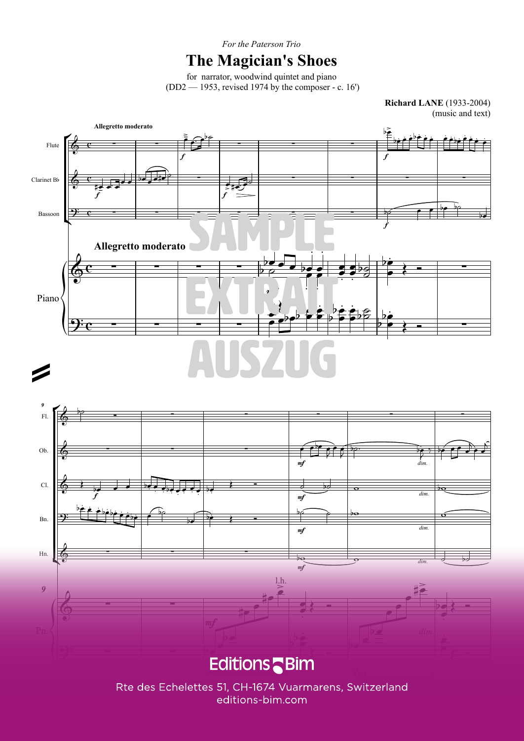*For the Paterson Trio*

#### **The Magician's Shoes**

for narrator, woodwind quintet and piano(DD2 — 1953, revised 1974 by the composer - c. 16')

> **Richard LANE** (1933-2004)(music and text)





**© World copyright 2017 by EDITIONS BIM (Jean-Pierre Mathez), CH-1674 Vuarmarens / Switzerland** 3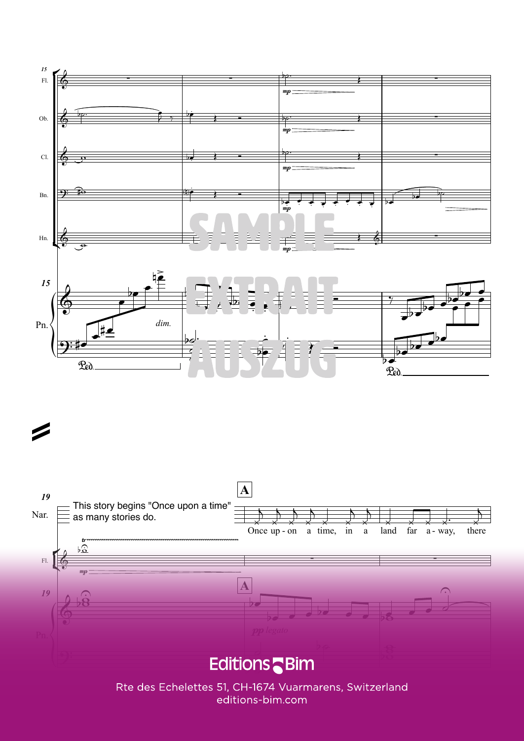



=

Rte des Echelettes 51, CH-1674 Vuarmarens, Switzerland *Unauthorized duplications are illegal - Les reproductions non-autorisées sont illicites - Unerlaubte Vervielfältigungen sind rechtswidrig* BIM MCX47d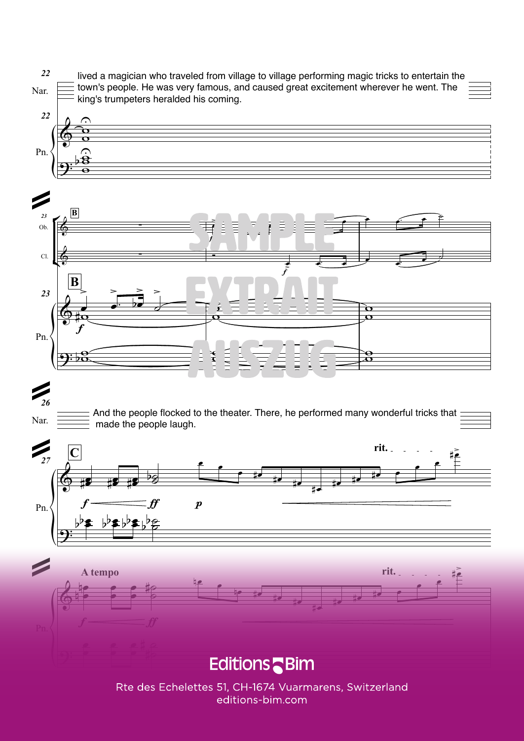Nar.*22* lived a magician who traveled from village to village performing magic tricks to entertain thetown's people. He was very famous, and caused great excitement wherever he went. Theking's trumpeters heralded his coming.





## *26*=

Nar.

 $f \longrightarrow f$ 

And the people flocked to the theater. There, he performed many wonderful tricks thatmade the people laugh.



# **Editions** Bim

#e<sup>d #e</sup>

Rte des Echelettes 51, CH-1674 Vuarmarens, Switzerland *Unauthorized duplications are illegal - Les reproductions non-autorisées sont illicites - Unerlaubte Vervielfältigungen sind rechtswidrig* 5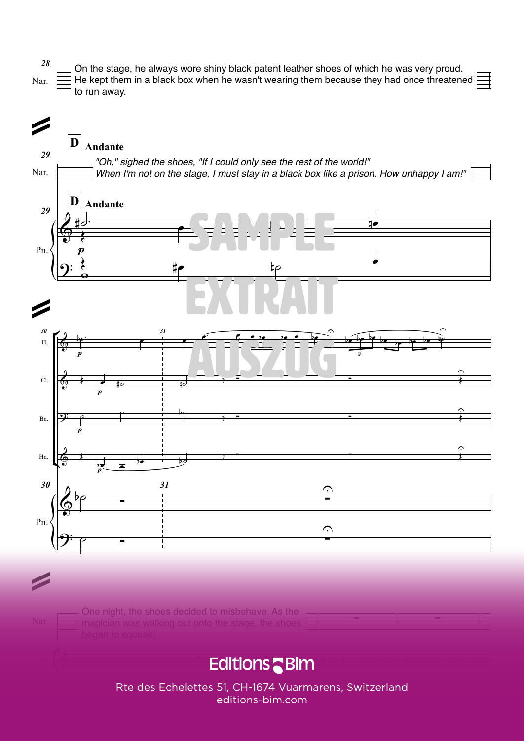

## & ∑ ∑ ∑ ∑ ∑ ∑ ∑ ∑ <mark>Er</mark>

Rte des Echelettes 51, CH-1674 Vuarmarens, Switzerland *Unauthorized duplications are illegal - Les reproductions non-autorisées sont illicites - Unerlaubte Vervielfältigungen sind rechtswidrig* BIM MCX47d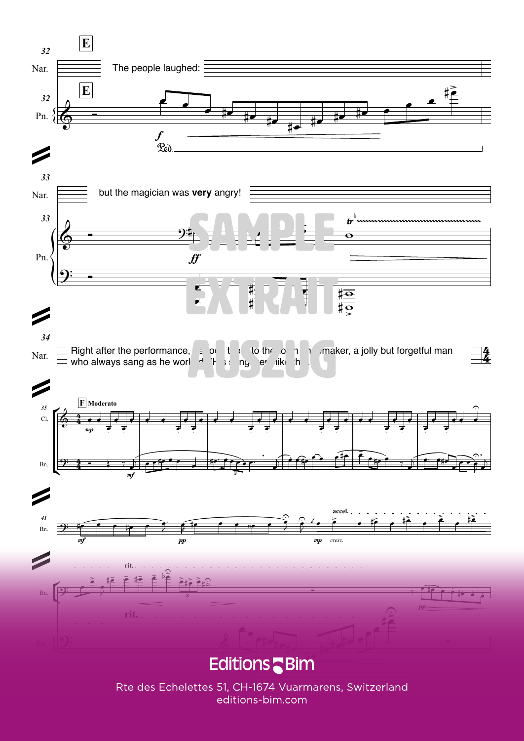

Rte des Echelettes 51, CH-1674 Vuarmarens, Switzerland editions-bim.com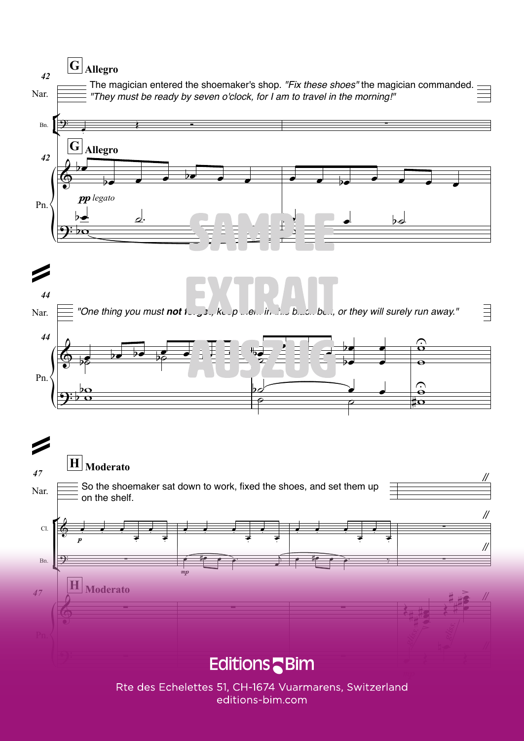## $\boxed{\textbf{G}}$  Allegro









Rte des Echelettes 51, CH-1674 Vuarmarens, Switzerland editions-bim.com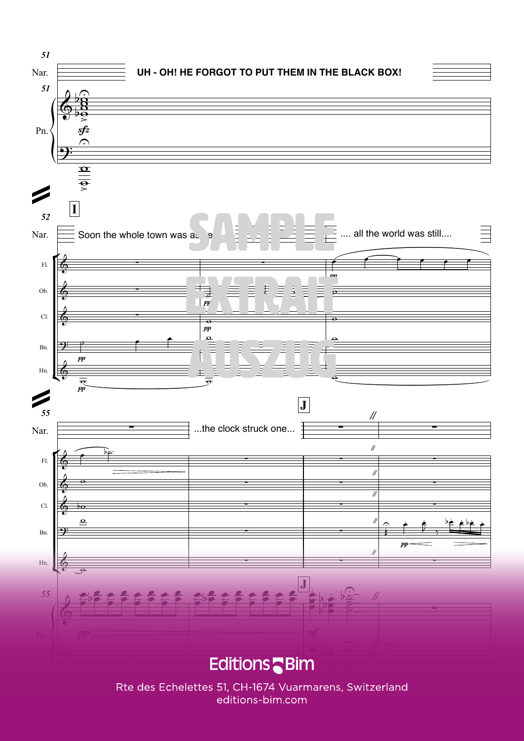

Re des Ecricientes 51, CH-1074 vudritiarens, Switzerland  $\mathsf{land}$ *Unauthorized duplications are illegal - Les reproductions non-autorisées sont illicites - Unerlaubte Vervielfältigungen sind rechtswidrig* 9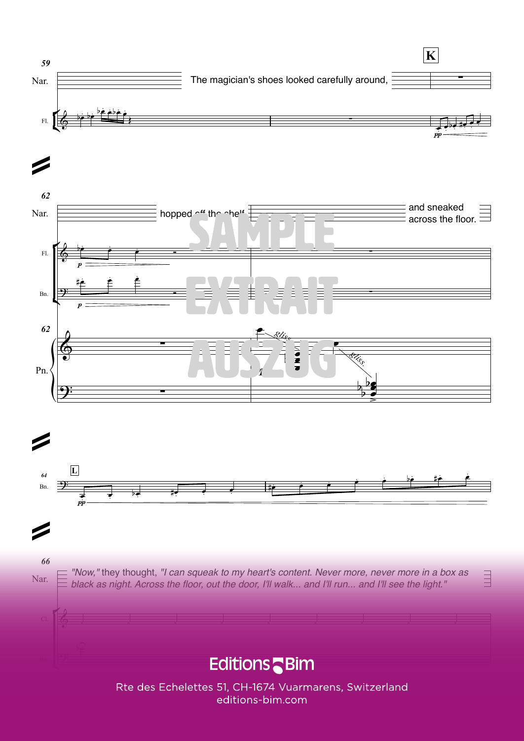





66

Z

"Now," they thought, "I can squeak to my heart's content. Never more, never more in a box as Nar. black as night. Across the floor, out the door, I'll walk... and I'll run... and I'll see the light."

 $\equiv$ 

#### **Editions** Bim

Rte des Echelettes 51, CH-1674 Vuarmarens, Switzerland editions-bim.com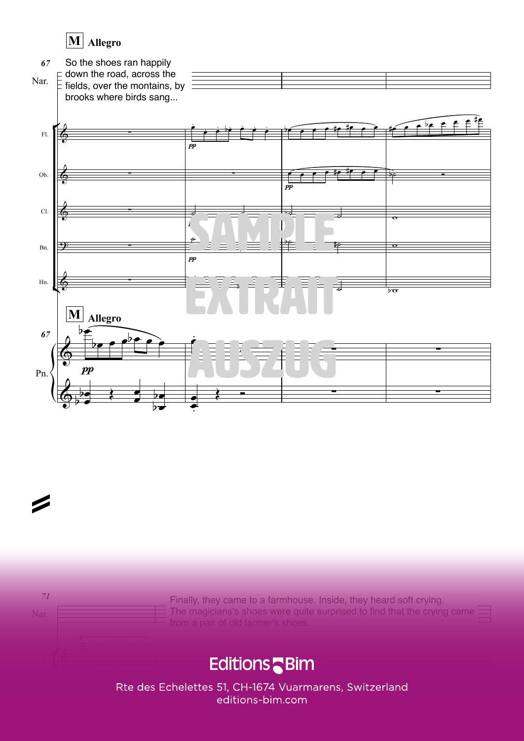### **MAllegro**





=

Finally, they came to a farmhouse. Inside, they heard soft crying.The magicians's shoes were quite surprised to find that the crying came

### **Editions** Bim

Rte des Echelettes 51, CH-1674 Vuarmarens, Switzerland *Unauthorized duplications are illegal - Les reproductions non-autorisées sont illicites - Unerlaubte Vervielfältigungen sind rechtswidrig* 11